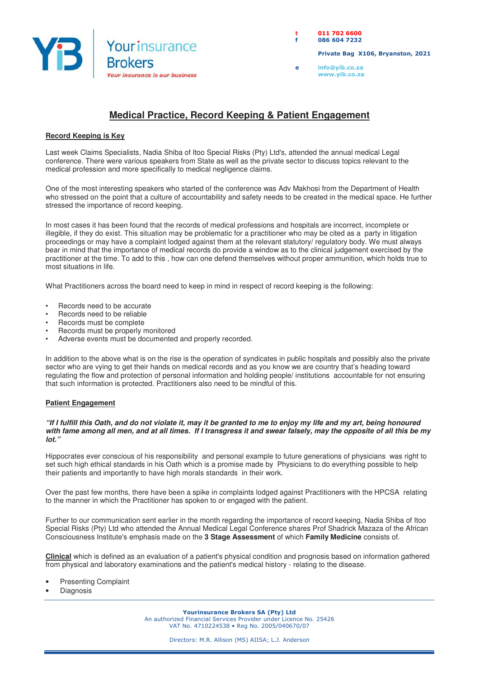

**t 011 702 6600 f 086 604 7232** 

 **Private Bag X106, Bryanston, 2021** 

**e info@yib.co.za www.yib.co.za**

## **Medical Practice, Record Keeping & Patient Engagement**

## **Record Keeping is Key**

Last week Claims Specialists, Nadia Shiba of Itoo Special Risks (Pty) Ltd's, attended the annual medical Legal conference. There were various speakers from State as well as the private sector to discuss topics relevant to the medical profession and more specifically to medical negligence claims.

One of the most interesting speakers who started of the conference was Adv Makhosi from the Department of Health who stressed on the point that a culture of accountability and safety needs to be created in the medical space. He further stressed the importance of record keeping.

In most cases it has been found that the records of medical professions and hospitals are incorrect, incomplete or illegible, if they do exist. This situation may be problematic for a practitioner who may be cited as a party in litigation proceedings or may have a complaint lodged against them at the relevant statutory/ regulatory body. We must always bear in mind that the importance of medical records do provide a window as to the clinical judgement exercised by the practitioner at the time. To add to this , how can one defend themselves without proper ammunition, which holds true to most situations in life.

What Practitioners across the board need to keep in mind in respect of record keeping is the following:

- Records need to be accurate
- Records need to be reliable
- Records must be complete
- Records must be properly monitored
- Adverse events must be documented and properly recorded.

In addition to the above what is on the rise is the operation of syndicates in public hospitals and possibly also the private sector who are vying to get their hands on medical records and as you know we are country that's heading toward regulating the flow and protection of personal information and holding people/ institutions accountable for not ensuring that such information is protected. Practitioners also need to be mindful of this.

## **Patient Engagement**

## **"If I fulfill this Oath, and do not violate it, may it be granted to me to enjoy my life and my art, being honoured with fame among all men, and at all times. If I transgress it and swear falsely, may the opposite of all this be my lot."**

Hippocrates ever conscious of his responsibility and personal example to future generations of physicians was right to set such high ethical standards in his Oath which is a promise made by Physicians to do everything possible to help their patients and importantly to have high morals standards in their work.

Over the past few months, there have been a spike in complaints lodged against Practitioners with the HPCSA relating to the manner in which the Practitioner has spoken to or engaged with the patient.

Further to our communication sent earlier in the month regarding the importance of record keeping, Nadia Shiba of Itoo Special Risks (Pty) Ltd who attended the Annual Medical Legal Conference shares Prof Shadrick Mazaza of the African Consciousness Institute's emphasis made on the **3 Stage Assessment** of which **Family Medicine** consists of.

**Clinical** which is defined as an evaluation of a patient's physical condition and prognosis based on information gathered from physical and laboratory examinations and the patient's medical history - relating to the disease.

- **Presenting Complaint**
- **Diagnosis**

**Yourinsurance Brokers SA (Pty) Ltd**  An authorized Financial Services Provider under Licence No. 25426 VAT No. 4710224538 • Reg No. 2005/040670/07